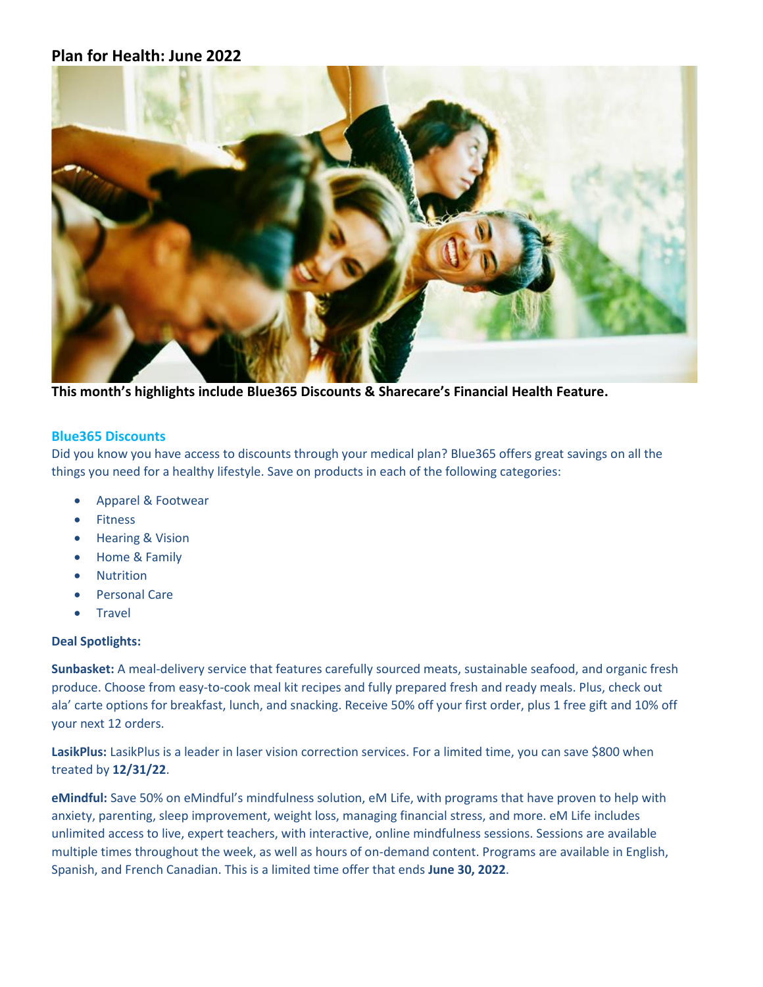# **Plan for Health: June 2022**



**This month's highlights include Blue365 Discounts & Sharecare's Financial Health Feature.**

#### **Blue365 Discounts**

Did you know you have access to discounts through your medical plan? Blue365 offers great savings on all the things you need for a healthy lifestyle. Save on products in each of the following categories:

- Apparel & Footwear
- Fitness
- Hearing & Vision
- Home & Family
- Nutrition
- Personal Care
- Travel

### **Deal Spotlights:**

**Sunbasket:** A meal-delivery service that features carefully sourced meats, sustainable seafood, and organic fresh produce. Choose from easy-to-cook meal kit recipes and fully prepared fresh and ready meals. Plus, check out ala' carte options for breakfast, lunch, and snacking. Receive 50% off your first order, plus 1 free gift and 10% off your next 12 orders.

**LasikPlus:** LasikPlus is a leader in laser vision correction services. For a limited time, you can save \$800 when treated by **12/31/22**.

**eMindful:** Save 50% on eMindful's mindfulness solution, eM Life, with programs that have proven to help with anxiety, parenting, sleep improvement, weight loss, managing financial stress, and more. eM Life includes unlimited access to live, expert teachers, with interactive, online mindfulness sessions. Sessions are available multiple times throughout the week, as well as hours of on-demand content. Programs are available in English, Spanish, and French Canadian. This is a limited time offer that ends **June 30, 2022**.